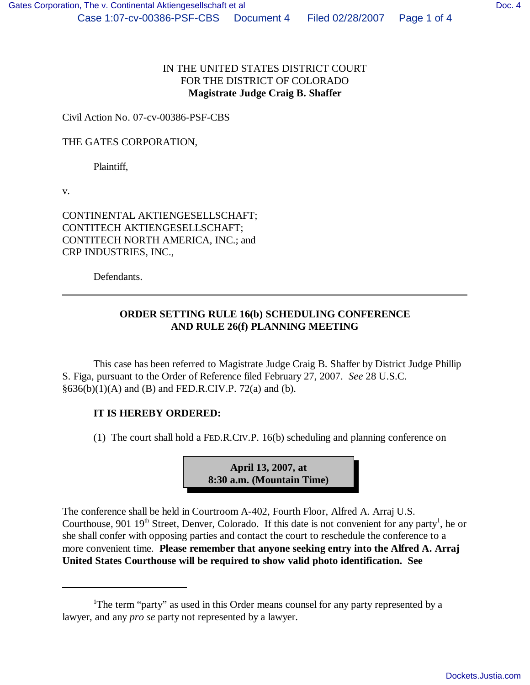## IN THE UNITED STATES DISTRICT COURT FOR THE DISTRICT OF COLORADO **Magistrate Judge Craig B. Shaffer**

Civil Action No. 07-cv-00386-PSF-CBS

THE GATES CORPORATION,

Plaintiff,

v.

CONTINENTAL AKTIENGESELLSCHAFT; CONTITECH AKTIENGESELLSCHAFT; CONTITECH NORTH AMERICA, INC.; and CRP INDUSTRIES, INC.,

Defendants.

## **ORDER SETTING RULE 16(b) SCHEDULING CONFERENCE AND RULE 26(f) PLANNING MEETING**

This case has been referred to Magistrate Judge Craig B. Shaffer by District Judge Phillip S. Figa, pursuant to the Order of Reference filed February 27, 2007. *See* 28 U.S.C.  $§636(b)(1)(A)$  and (B) and FED.R.CIV.P. 72(a) and (b).

## **IT IS HEREBY ORDERED:**

(1) The court shall hold a FED.R.CIV.P. 16(b) scheduling and planning conference on



The conference shall be held in Courtroom A-402, Fourth Floor, Alfred A. Arraj U.S. Courthouse, 901  $19<sup>th</sup>$  Street, Denver, Colorado. If this date is not convenient for any party<sup>1</sup>, he or she shall confer with opposing parties and contact the court to reschedule the conference to a more convenient time. **Please remember that anyone seeking entry into the Alfred A. Arraj United States Courthouse will be required to show valid photo identification. See**

<sup>&</sup>lt;sup>1</sup>The term "party" as used in this Order means counsel for any party represented by a lawyer, and any *pro se* party not represented by a lawyer.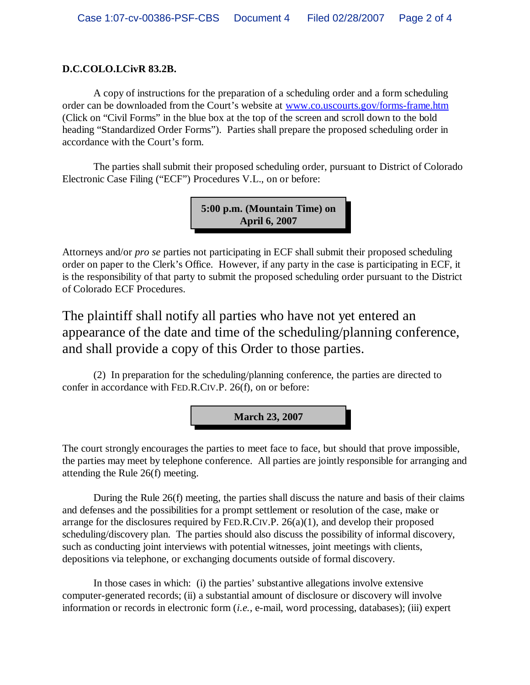## **D.C.COLO.LCivR 83.2B.**

A copy of instructions for the preparation of a scheduling order and a form scheduling order can be downloaded from the Court's website at www.co.uscourts.gov/forms-frame.htm (Click on "Civil Forms" in the blue box at the top of the screen and scroll down to the bold heading "Standardized Order Forms"). Parties shall prepare the proposed scheduling order in accordance with the Court's form.

The parties shall submit their proposed scheduling order, pursuant to District of Colorado Electronic Case Filing ("ECF") Procedures V.L., on or before:

> **5:00 p.m. (Mountain Time) on April 6, 2007**

Attorneys and/or *pro se* parties not participating in ECF shall submit their proposed scheduling order on paper to the Clerk's Office. However, if any party in the case is participating in ECF, it is the responsibility of that party to submit the proposed scheduling order pursuant to the District of Colorado ECF Procedures.

The plaintiff shall notify all parties who have not yet entered an appearance of the date and time of the scheduling/planning conference, and shall provide a copy of this Order to those parties.

(2) In preparation for the scheduling/planning conference, the parties are directed to confer in accordance with FED.R.CIV.P. 26(f), on or before:



The court strongly encourages the parties to meet face to face, but should that prove impossible, the parties may meet by telephone conference. All parties are jointly responsible for arranging and attending the Rule 26(f) meeting.

During the Rule 26(f) meeting, the parties shall discuss the nature and basis of their claims and defenses and the possibilities for a prompt settlement or resolution of the case, make or arrange for the disclosures required by FED.R.CIV.P.  $26(a)(1)$ , and develop their proposed scheduling/discovery plan. The parties should also discuss the possibility of informal discovery, such as conducting joint interviews with potential witnesses, joint meetings with clients, depositions via telephone, or exchanging documents outside of formal discovery.

In those cases in which: (i) the parties' substantive allegations involve extensive computer-generated records; (ii) a substantial amount of disclosure or discovery will involve information or records in electronic form (*i.e.,* e-mail, word processing, databases); (iii) expert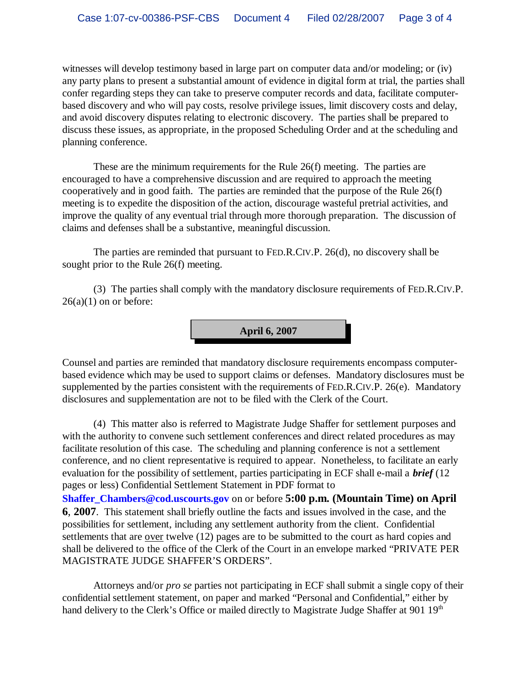witnesses will develop testimony based in large part on computer data and/or modeling; or (iv) any party plans to present a substantial amount of evidence in digital form at trial, the parties shall confer regarding steps they can take to preserve computer records and data, facilitate computerbased discovery and who will pay costs, resolve privilege issues, limit discovery costs and delay, and avoid discovery disputes relating to electronic discovery. The parties shall be prepared to discuss these issues, as appropriate, in the proposed Scheduling Order and at the scheduling and planning conference.

These are the minimum requirements for the Rule 26(f) meeting. The parties are encouraged to have a comprehensive discussion and are required to approach the meeting cooperatively and in good faith. The parties are reminded that the purpose of the Rule 26(f) meeting is to expedite the disposition of the action, discourage wasteful pretrial activities, and improve the quality of any eventual trial through more thorough preparation. The discussion of claims and defenses shall be a substantive, meaningful discussion.

The parties are reminded that pursuant to FED.R.CIV.P. 26(d), no discovery shall be sought prior to the Rule 26(f) meeting.

(3) The parties shall comply with the mandatory disclosure requirements of FED.R.CIV.P.  $26(a)(1)$  on or before:



Counsel and parties are reminded that mandatory disclosure requirements encompass computerbased evidence which may be used to support claims or defenses. Mandatory disclosures must be supplemented by the parties consistent with the requirements of FED.R.CIV.P. 26(e). Mandatory disclosures and supplementation are not to be filed with the Clerk of the Court.

(4) This matter also is referred to Magistrate Judge Shaffer for settlement purposes and with the authority to convene such settlement conferences and direct related procedures as may facilitate resolution of this case. The scheduling and planning conference is not a settlement conference, and no client representative is required to appear. Nonetheless, to facilitate an early evaluation for the possibility of settlement, parties participating in ECF shall e-mail a *brief* (12 pages or less) Confidential Settlement Statement in PDF format to **Shaffer\_Chambers@cod.uscourts.gov** on or before **5:00 p.m. (Mountain Time) on April 6**, **2007**. This statement shall briefly outline the facts and issues involved in the case, and the possibilities for settlement, including any settlement authority from the client. Confidential settlements that are over twelve (12) pages are to be submitted to the court as hard copies and shall be delivered to the office of the Clerk of the Court in an envelope marked "PRIVATE PER MAGISTRATE JUDGE SHAFFER'S ORDERS".

Attorneys and/or *pro se* parties not participating in ECF shall submit a single copy of their confidential settlement statement, on paper and marked "Personal and Confidential," either by hand delivery to the Clerk's Office or mailed directly to Magistrate Judge Shaffer at 901 19<sup>th</sup>